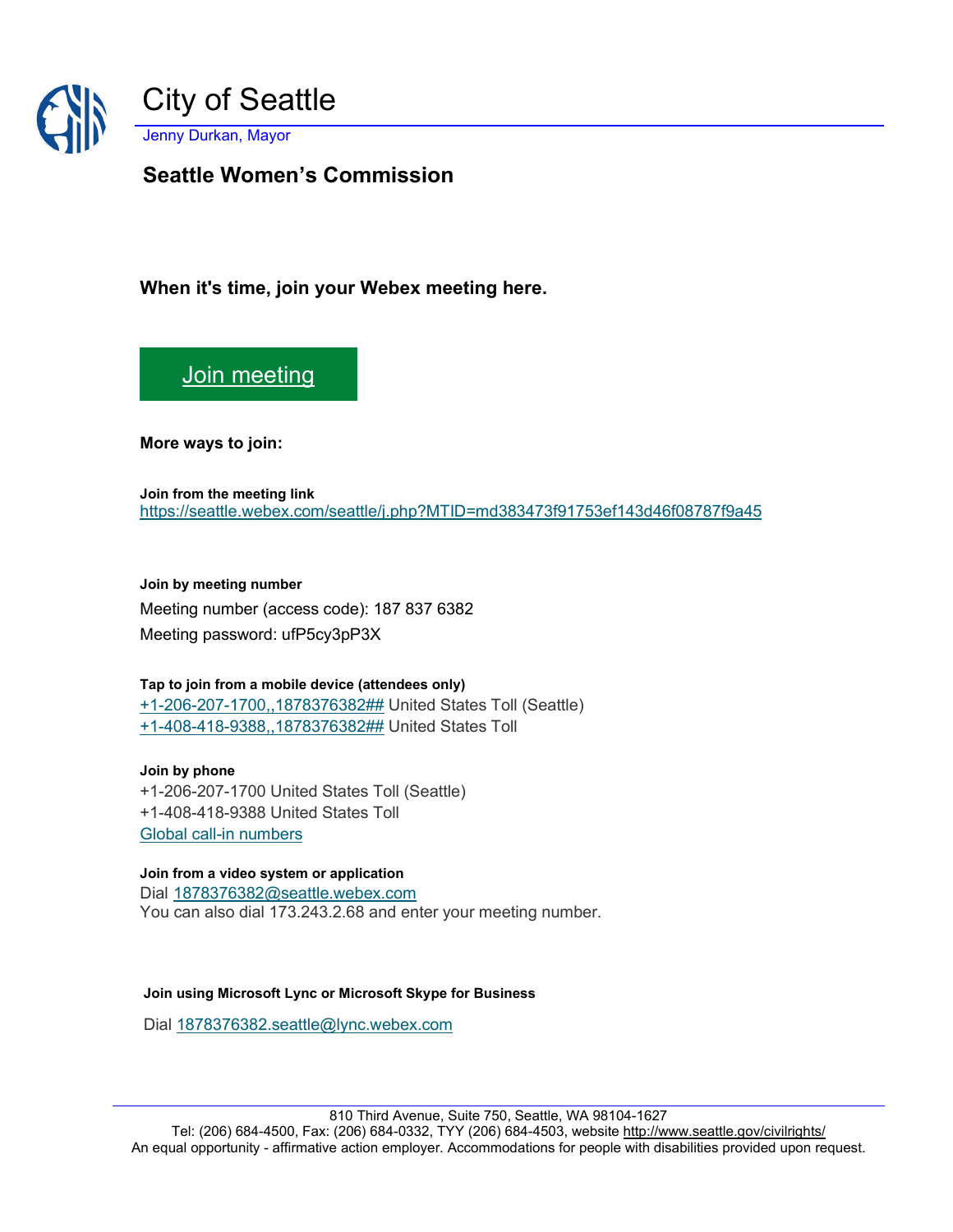

**Seattle Women's Commission**

**When it's time, join your Webex meeting here.** 

[Join meeting](https://seattle.webex.com/seattle/j.php?MTID=md383473f91753ef143d46f08787f9a45)

**More ways to join:** 

**Join from the meeting link**  <https://seattle.webex.com/seattle/j.php?MTID=md383473f91753ef143d46f08787f9a45>

**Join by meeting number**  Meeting number (access code): 187 837 6382 Meeting password: ufP5cy3pP3X

## **Tap to join from a mobile device (attendees only)** [+1-206-207-1700,,1878376382##](tel:%2B1-206-207-1700,,*01*1878376382%23%23*01*) United States Toll (Seattle)

[+1-408-418-9388,,1878376382##](tel:%2B1-408-418-9388,,*01*1878376382%23%23*01*) United States Toll

**Join by phone** +1-206-207-1700 United States Toll (Seattle) +1-408-418-9388 United States Toll [Global call-in numbers](https://seattle.webex.com/seattle/globalcallin.php?MTID=m061df1b884bec3e748b5d2d72ef28526)

## **Join from a video system or application**

Dial [1878376382@seattle.webex.com](sip:1878376382@seattle.webex.com) You can also dial 173.243.2.68 and enter your meeting number.

## **Join using Microsoft Lync or Microsoft Skype for Business**

Dial [1878376382.seattle@lync.webex.com](sip:1878376382.seattle@lync.webex.com)